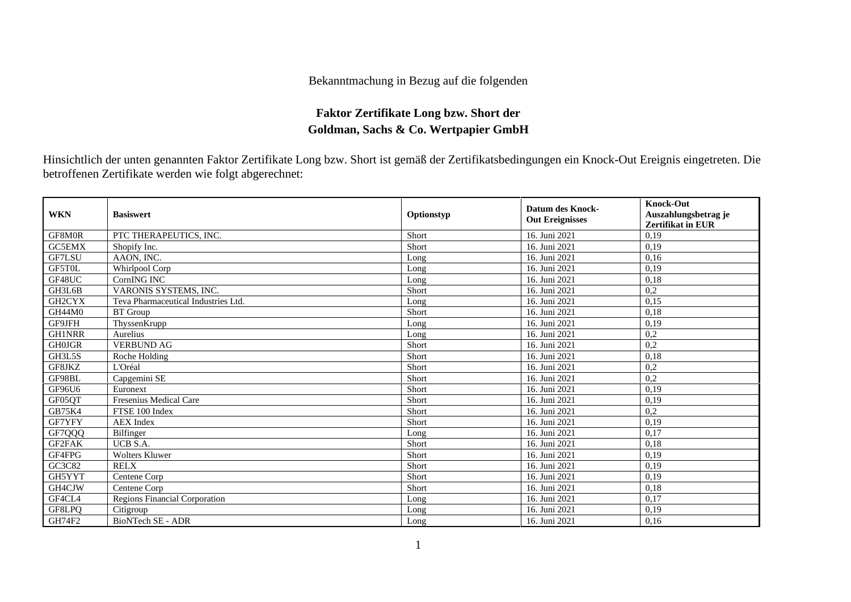## Bekanntmachung in Bezug auf die folgenden

## **Faktor Zertifikate Long bzw. Short der Goldman, Sachs & Co. Wertpapier GmbH**

Hinsichtlich der unten genannten Faktor Zertifikate Long bzw. Short ist gemäß der Zertifikatsbedingungen ein Knock-Out Ereignis eingetreten. Die betroffenen Zertifikate werden wie folgt abgerechnet:

| <b>WKN</b>    | <b>Basiswert</b>                    | Optionstyp | <b>Datum des Knock-</b><br><b>Out Ereignisses</b> | <b>Knock-Out</b><br>Auszahlungsbetrag je<br><b>Zertifikat in EUR</b> |
|---------------|-------------------------------------|------------|---------------------------------------------------|----------------------------------------------------------------------|
| GF8M0R        | PTC THERAPEUTICS, INC.              | Short      | 16. Juni 2021                                     | 0,19                                                                 |
| <b>GC5EMX</b> | Shopify Inc.                        | Short      | 16. Juni 2021                                     | 0,19                                                                 |
| GF7LSU        | AAON. INC.                          | Long       | 16. Juni 2021                                     | 0,16                                                                 |
| GF5T0L        | Whirlpool Corp                      | Long       | 16. Juni 2021                                     | 0,19                                                                 |
| GF48UC        | <b>CornING INC</b>                  | Long       | 16. Juni 2021                                     | 0,18                                                                 |
| GH3L6B        | VARONIS SYSTEMS, INC.               | Short      | 16. Juni 2021                                     | 0,2                                                                  |
| GH2CYX        | Teva Pharmaceutical Industries Ltd. | Long       | 16. Juni 2021                                     | 0,15                                                                 |
| GH44M0        | <b>BT</b> Group                     | Short      | 16. Juni 2021                                     | 0,18                                                                 |
| GF9JFH        | ThyssenKrupp                        | Long       | 16. Juni 2021                                     | 0.19                                                                 |
| <b>GH1NRR</b> | Aurelius                            | Long       | 16. Juni 2021                                     | 0,2                                                                  |
| <b>GH0JGR</b> | <b>VERBUND AG</b>                   | Short      | 16. Juni 2021                                     | 0,2                                                                  |
| GH3L5S        | Roche Holding                       | Short      | 16. Juni 2021                                     | 0,18                                                                 |
| GF8JKZ        | L'Oréal                             | Short      | 16. Juni 2021                                     | 0,2                                                                  |
| GF98BL        | Capgemini SE                        | Short      | 16. Juni 2021                                     | 0,2                                                                  |
| GF96U6        | Euronext                            | Short      | 16. Juni 2021                                     | 0,19                                                                 |
| GF05OT        | Fresenius Medical Care              | Short      | 16. Juni 2021                                     | 0,19                                                                 |
| GB75K4        | FTSE 100 Index                      | Short      | 16. Juni 2021                                     | 0,2                                                                  |
| GF7YFY        | <b>AEX</b> Index                    | Short      | 16. Juni 2021                                     | 0,19                                                                 |
| GF7QQQ        | Bilfinger                           | Long       | 16. Juni 2021                                     | 0.17                                                                 |
| <b>GF2FAK</b> | UCB S.A.                            | Short      | 16. Juni 2021                                     | 0.18                                                                 |
| GF4FPG        | Wolters Kluwer                      | Short      | 16. Juni 2021                                     | 0,19                                                                 |
| GC3C82        | <b>RELX</b>                         | Short      | 16. Juni 2021                                     | 0,19                                                                 |
| GH5YYT        | Centene Corp                        | Short      | 16. Juni 2021                                     | 0,19                                                                 |
| GH4CJW        | Centene Corp                        | Short      | 16. Juni 2021                                     | 0,18                                                                 |
| GF4CL4        | Regions Financial Corporation       | Long       | 16. Juni 2021                                     | 0,17                                                                 |
| GF8LPO        | Citigroup                           | Long       | 16. Juni 2021                                     | 0,19                                                                 |
| GH74F2        | BioNTech SE - ADR                   | Long       | 16. Juni 2021                                     | 0,16                                                                 |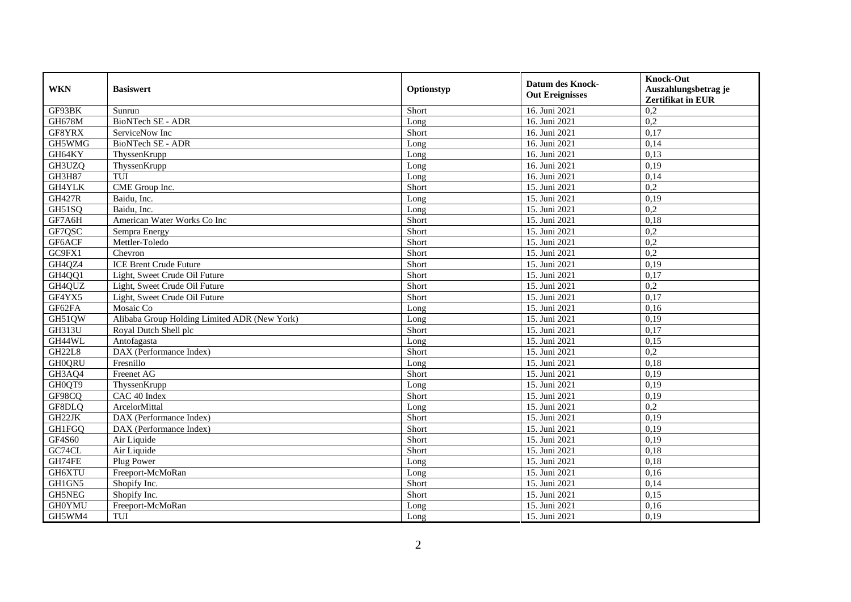| <b>WKN</b>    | <b>Basiswert</b>                             | Optionstyp | <b>Datum des Knock-</b><br><b>Out Ereignisses</b> | <b>Knock-Out</b><br>Auszahlungsbetrag je<br><b>Zertifikat in EUR</b> |
|---------------|----------------------------------------------|------------|---------------------------------------------------|----------------------------------------------------------------------|
| GF93BK        | Sunrun                                       | Short      | 16. Juni 2021                                     | 0,2                                                                  |
| GH678M        | <b>BioNTech SE - ADR</b>                     | Long       | 16. Juni 2021                                     | 0,2                                                                  |
| GF8YRX        | ServiceNow Inc                               | Short      | 16. Juni 2021                                     | 0,17                                                                 |
| GH5WMG        | BioNTech SE - ADR                            | Long       | 16. Juni 2021                                     | 0,14                                                                 |
| GH64KY        | ThyssenKrupp                                 | Long       | 16. Juni 2021                                     | 0,13                                                                 |
| GH3UZQ        | ThyssenKrupp                                 | Long       | 16. Juni 2021                                     | 0,19                                                                 |
| <b>GH3H87</b> | TUI                                          | Long       | 16. Juni 2021                                     | 0,14                                                                 |
| <b>GH4YLK</b> | CME Group Inc.                               | Short      | 15. Juni 2021                                     | 0,2                                                                  |
| <b>GH427R</b> | Baidu, Inc.                                  | Long       | 15. Juni 2021                                     | 0,19                                                                 |
| GH51SQ        | Baidu, Inc.                                  | Long       | 15. Juni 2021                                     | 0,2                                                                  |
| GF7A6H        | American Water Works Co Inc                  | Short      | 15. Juni 2021                                     | 0,18                                                                 |
| GF7QSC        | Sempra Energy                                | Short      | 15. Juni 2021                                     | 0,2                                                                  |
| GF6ACF        | Mettler-Toledo                               | Short      | 15. Juni 2021                                     | 0,2                                                                  |
| GC9FX1        | Chevron                                      | Short      | 15. Juni 2021                                     | 0,2                                                                  |
| GH4QZ4        | <b>ICE Brent Crude Future</b>                | Short      | 15. Juni 2021                                     | 0,19                                                                 |
| GH4QQ1        | Light, Sweet Crude Oil Future                | Short      | 15. Juni 2021                                     | 0,17                                                                 |
| GH4QUZ        | Light, Sweet Crude Oil Future                | Short      | 15. Juni 2021                                     | 0,2                                                                  |
| GF4YX5        | Light, Sweet Crude Oil Future                | Short      | 15. Juni 2021                                     | 0,17                                                                 |
| GF62FA        | Mosaic Co                                    | Long       | 15. Juni 2021                                     | 0,16                                                                 |
| GH51QW        | Alibaba Group Holding Limited ADR (New York) | Long       | 15. Juni 2021                                     | 0,19                                                                 |
| GH313U        | Royal Dutch Shell plc                        | Short      | 15. Juni 2021                                     | 0,17                                                                 |
| GH44WL        | Antofagasta                                  | Long       | 15. Juni 2021                                     | 0.15                                                                 |
| GH22L8        | DAX (Performance Index)                      | Short      | 15. Juni 2021                                     | 0,2                                                                  |
| <b>GH0QRU</b> | Fresnillo                                    | Long       | 15. Juni 2021                                     | 0,18                                                                 |
| GH3AQ4        | Freenet AG                                   | Short      | 15. Juni 2021                                     | 0,19                                                                 |
| GH0QT9        | ThyssenKrupp                                 | Long       | 15. Juni 2021                                     | 0,19                                                                 |
| GF98CQ        | CAC 40 Index                                 | Short      | 15. Juni 2021                                     | 0,19                                                                 |
| GF8DLQ        | ArcelorMittal                                | Long       | 15. Juni 2021                                     | 0,2                                                                  |
| GH22JK        | DAX (Performance Index)                      | Short      | 15. Juni 2021                                     | 0,19                                                                 |
| GH1FGQ        | DAX (Performance Index)                      | Short      | 15. Juni 2021                                     | 0,19                                                                 |
| GF4S60        | Air Liquide                                  | Short      | 15. Juni 2021                                     | 0,19                                                                 |
| GC74CL        | Air Liquide                                  | Short      | 15. Juni 2021                                     | 0,18                                                                 |
| GH74FE        | Plug Power                                   | Long       | 15. Juni 2021                                     | 0,18                                                                 |
| GH6XTU        | Freeport-McMoRan                             | Long       | 15. Juni 2021                                     | 0,16                                                                 |
| GH1GN5        | Shopify Inc.                                 | Short      | 15. Juni 2021                                     | 0,14                                                                 |
| GH5NEG        | Shopify Inc.                                 | Short      | 15. Juni 2021                                     | 0,15                                                                 |
| <b>GH0YMU</b> | Freeport-McMoRan                             | Long       | 15. Juni 2021                                     | 0,16                                                                 |
| GH5WM4        | TUI                                          | Long       | 15. Juni 2021                                     | 0,19                                                                 |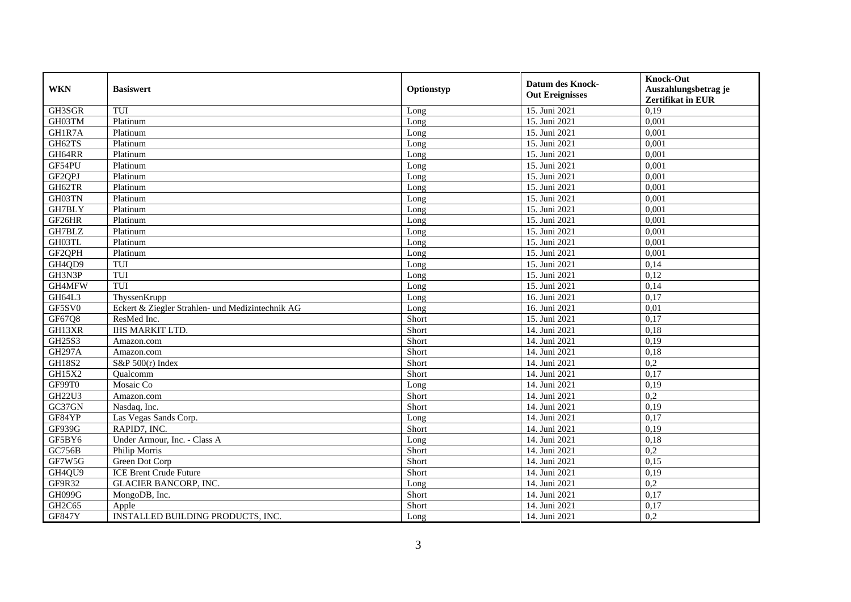| <b>WKN</b>                      | <b>Basiswert</b>                                 | Optionstyp | <b>Datum des Knock-</b><br><b>Out Ereignisses</b> | <b>Knock-Out</b><br>Auszahlungsbetrag je<br><b>Zertifikat in EUR</b> |
|---------------------------------|--------------------------------------------------|------------|---------------------------------------------------|----------------------------------------------------------------------|
| GH3SGR                          | TUI                                              | Long       | 15. Juni 2021                                     | 0,19                                                                 |
| GH03TM                          | Platinum                                         | Long       | 15. Juni 2021                                     | 0,001                                                                |
| GH1R7A                          | Platinum                                         | Long       | 15. Juni 2021                                     | 0,001                                                                |
| GH62TS                          | Platinum                                         | Long       | 15. Juni 2021                                     | 0,001                                                                |
| GH64RR                          | Platinum                                         | Long       | 15. Juni 2021                                     | 0,001                                                                |
| GF54PU                          | Platinum                                         | Long       | 15. Juni 2021                                     | 0,001                                                                |
| GF2QPJ                          | Platinum                                         | Long       | 15. Juni 2021                                     | 0,001                                                                |
| GH62TR                          | Platinum                                         | Long       | 15. Juni 2021                                     | 0,001                                                                |
| GH03TN                          | Platinum                                         | Long       | 15. Juni 2021                                     | 0,001                                                                |
| GH7BLY                          | Platinum                                         | Long       | 15. Juni 2021                                     | 0,001                                                                |
| GF26HR                          | Platinum                                         | Long       | 15. Juni 2021                                     | 0,001                                                                |
| GH7BLZ                          | Platinum                                         | Long       | 15. Juni 2021                                     | 0,001                                                                |
| GH03TL                          | Platinum                                         | Long       | 15. Juni 2021                                     | 0,001                                                                |
| GF2QPH                          | Platinum                                         | Long       | 15. Juni 2021                                     | 0,001                                                                |
| GH4QD9                          | TUI                                              | Long       | 15. Juni 2021                                     | 0,14                                                                 |
| GH3N3P                          | TUI                                              | Long       | 15. Juni 2021                                     | 0,12                                                                 |
| GH4MFW                          | TUI                                              | Long       | 15. Juni 2021                                     | 0,14                                                                 |
| GH64L3                          | ThyssenKrupp                                     | Long       | 16. Juni 2021                                     | 0,17                                                                 |
| GF5SV0                          | Eckert & Ziegler Strahlen- und Medizintechnik AG | Long       | 16. Juni 2021                                     | 0,01                                                                 |
| GF67Q8                          | ResMed Inc.                                      | Short      | 15. Juni 2021                                     | 0,17                                                                 |
| GH13XR                          | <b>IHS MARKIT LTD.</b>                           | Short      | 14. Juni 2021                                     | 0,18                                                                 |
| GH25S3                          | Amazon.com                                       | Short      | 14. Juni 2021                                     | 0,19                                                                 |
| <b>GH297A</b>                   | Amazon.com                                       | Short      | 14. Juni 2021                                     | 0,18                                                                 |
| <b>GH18S2</b>                   | $S\&P 500(r)$ Index                              | Short      | 14. Juni 2021                                     | 0,2                                                                  |
| GH15X2                          | Oualcomm                                         | Short      | 14. Juni 2021                                     | 0,17                                                                 |
| GF99T0                          | Mosaic Co                                        | Long       | 14. Juni 2021                                     | 0,19                                                                 |
| GH22U3                          | Amazon.com                                       | Short      | 14. Juni 2021                                     | 0,2                                                                  |
| GC37GN                          | Nasdaq, Inc.                                     | Short      | 14. Juni 2021                                     | 0,19                                                                 |
| GF84YP                          | Las Vegas Sands Corp.                            | Long       | $\overline{14}$ . Juni 2021                       | 0,17                                                                 |
| GF939G                          | RAPID7, INC.                                     | Short      | 14. Juni 2021                                     | 0,19                                                                 |
| GF5BY6                          | Under Armour, Inc. - Class A                     | Long       | 14. Juni 2021                                     | 0,18                                                                 |
| <b>GC756B</b>                   | Philip Morris                                    | Short      | 14. Juni 2021                                     | 0,2                                                                  |
| GF7W5G                          | Green Dot Corp                                   | Short      | 14. Juni 2021                                     | 0,15                                                                 |
| GH4QU9                          | <b>ICE Brent Crude Future</b>                    | Short      | 14. Juni 2021                                     | 0,19                                                                 |
| GF9R32                          | <b>GLACIER BANCORP, INC.</b>                     | Long       | 14. Juni 2021                                     | 0,2                                                                  |
| GH099G                          | MongoDB, Inc.                                    | Short      | 14. Juni 2021                                     | 0,17                                                                 |
| GH <sub>2</sub> C <sub>65</sub> | Apple                                            | Short      | 14. Juni 2021                                     | 0,17                                                                 |
| <b>GF847Y</b>                   | INSTALLED BUILDING PRODUCTS, INC.                | Long       | 14. Juni 2021                                     | 0,2                                                                  |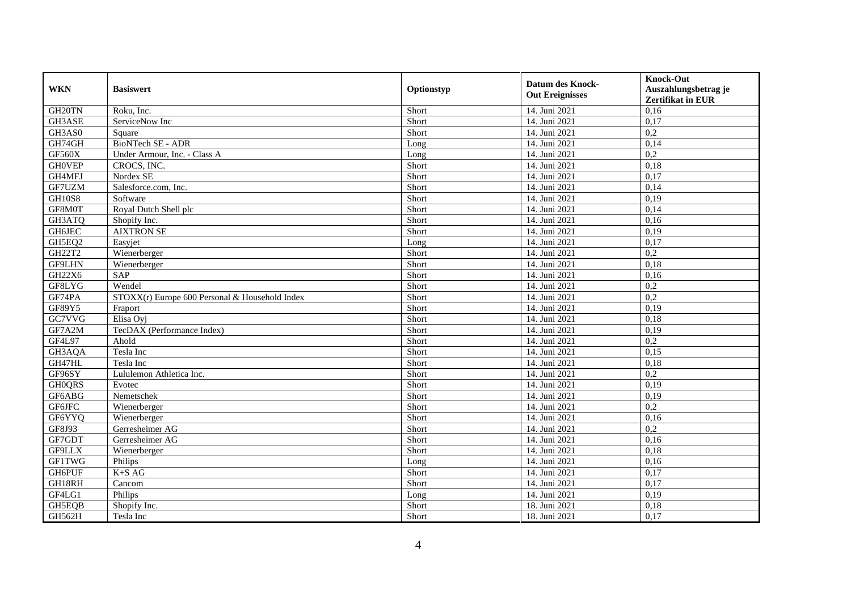| <b>WKN</b>         | <b>Basiswert</b>                               | Optionstyp | <b>Datum des Knock-</b><br><b>Out Ereignisses</b> | <b>Knock-Out</b><br>Auszahlungsbetrag je<br>Zertifikat in EUR |
|--------------------|------------------------------------------------|------------|---------------------------------------------------|---------------------------------------------------------------|
| GH <sub>20TN</sub> | Roku, Inc.                                     | Short      | 14. Juni 2021                                     | 0,16                                                          |
| GH3ASE             | ServiceNow Inc                                 | Short      | 14. Juni 2021                                     | 0,17                                                          |
| GH3AS0             | Square                                         | Short      | 14. Juni 2021                                     | 0,2                                                           |
| GH74GH             | <b>BioNTech SE - ADR</b>                       | Long       | 14. Juni 2021                                     | 0,14                                                          |
| GF560X             | Under Armour, Inc. - Class A                   | Long       | 14. Juni 2021                                     | 0,2                                                           |
| <b>GHOVEP</b>      | CROCS, INC.                                    | Short      | 14. Juni 2021                                     | 0,18                                                          |
| GH4MFJ             | Nordex SE                                      | Short      | 14. Juni 2021                                     | 0,17                                                          |
| GF7UZM             | Salesforce.com, Inc.                           | Short      | 14. Juni 2021                                     | 0,14                                                          |
| <b>GH10S8</b>      | Software                                       | Short      | 14. Juni 2021                                     | 0,19                                                          |
| GF8M0T             | Royal Dutch Shell plc                          | Short      | 14. Juni 2021                                     | 0,14                                                          |
| GH3ATQ             | Shopify Inc.                                   | Short      | 14. Juni 2021                                     | 0,16                                                          |
| GH6JEC             | <b>AIXTRON SE</b>                              | Short      | 14. Juni 2021                                     | 0,19                                                          |
| GH5EQ2             | Easyjet                                        | Long       | 14. Juni 2021                                     | 0,17                                                          |
| GH22T2             | Wienerberger                                   | Short      | 14. Juni 2021                                     | 0,2                                                           |
| GF9LHN             | Wienerberger                                   | Short      | 14. Juni 2021                                     | 0,18                                                          |
| <b>GH22X6</b>      | SAP                                            | Short      | 14. Juni 2021                                     | 0,16                                                          |
| GF8LYG             | Wendel                                         | Short      | 14. Juni 2021                                     | 0,2                                                           |
| GF74PA             | STOXX(r) Europe 600 Personal & Household Index | Short      | 14. Juni 2021                                     | 0,2                                                           |
| GF89Y5             | Fraport                                        | Short      | 14. Juni 2021                                     | 0,19                                                          |
| GC7VVG             | Elisa Oyj                                      | Short      | 14. Juni 2021                                     | 0,18                                                          |
| GF7A2M             | TecDAX (Performance Index)                     | Short      | 14. Juni 2021                                     | 0,19                                                          |
| GF4L97             | Ahold                                          | Short      | 14. Juni 2021                                     | 0,2                                                           |
| GH3AQA             | Tesla Inc                                      | Short      | 14. Juni 2021                                     | 0,15                                                          |
| GH47HL             | Tesla Inc                                      | Short      | 14. Juni 2021                                     | 0,18                                                          |
| GF96SY             | Lululemon Athletica Inc.                       | Short      | 14. Juni 2021                                     | 0,2                                                           |
| <b>GHOQRS</b>      | Evotec                                         | Short      | 14. Juni 2021                                     | 0,19                                                          |
| GF6ABG             | Nemetschek                                     | Short      | 14. Juni 2021                                     | 0,19                                                          |
| GF6JFC             | Wienerberger                                   | Short      | 14. Juni 2021                                     | $\overline{0.2}$                                              |
| GF6YYQ             | Wienerberger                                   | Short      | $\overline{14}$ . Juni 2021                       | 0,16                                                          |
| GF8J93             | Gerresheimer AG                                | Short      | 14. Juni 2021                                     | 0,2                                                           |
| GF7GDT             | Gerresheimer AG                                | Short      | 14. Juni 2021                                     | 0,16                                                          |
| GF9LLX             | Wienerberger                                   | Short      | 14. Juni 2021                                     | 0.18                                                          |
| <b>GF1TWG</b>      | Philips                                        | Long       | 14. Juni 2021                                     | 0,16                                                          |
| GH6PUF             | $K+SAG$                                        | Short      | 14. Juni 2021                                     | 0,17                                                          |
| GH18RH             | Cancom                                         | Short      | 14. Juni 2021                                     | 0,17                                                          |
| GF4LG1             | Philips                                        | Long       | 14. Juni 2021                                     | 0,19                                                          |
| GH5EQB             | Shopify Inc.                                   | Short      | 18. Juni 2021                                     | 0,18                                                          |
| GH562H             | Tesla Inc                                      | Short      | 18. Juni 2021                                     | 0,17                                                          |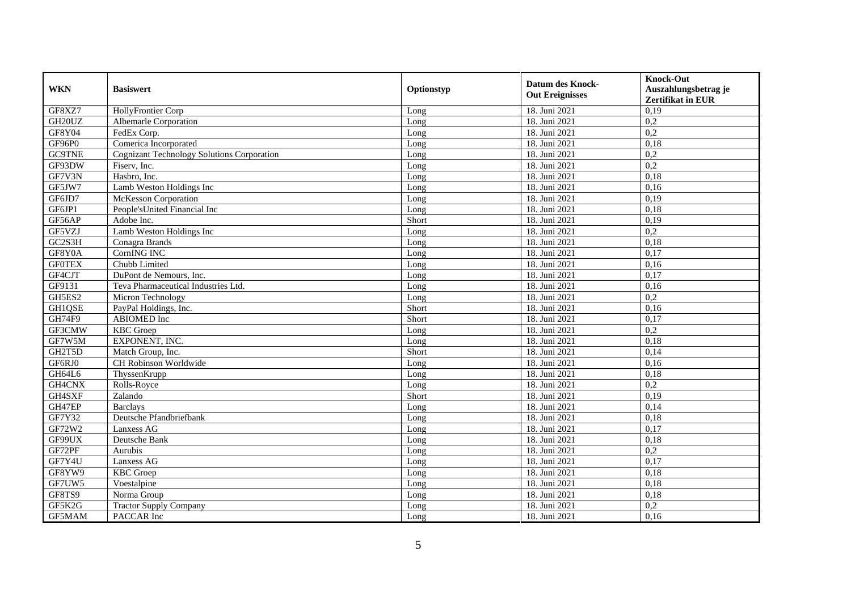| <b>WKN</b>    | <b>Basiswert</b>                                  | Optionstyp | <b>Datum des Knock-</b><br><b>Out Ereignisses</b> | <b>Knock-Out</b><br>Auszahlungsbetrag je<br>Zertifikat in EUR |
|---------------|---------------------------------------------------|------------|---------------------------------------------------|---------------------------------------------------------------|
| GF8XZ7        | HollyFrontier Corp                                | Long       | 18. Juni 2021                                     | 0,19                                                          |
| GH20UZ        | Albemarle Corporation                             | Long       | 18. Juni 2021                                     | 0,2                                                           |
| GF8Y04        | FedEx Corp.                                       | Long       | 18. Juni 2021                                     | 0,2                                                           |
| GF96P0        | Comerica Incorporated                             | Long       | 18. Juni 2021                                     | 0,18                                                          |
| <b>GC9TNE</b> | <b>Cognizant Technology Solutions Corporation</b> | Long       | 18. Juni 2021                                     | 0,2                                                           |
| GF93DW        | Fiserv, Inc.                                      | Long       | 18. Juni 2021                                     | $\overline{0.2}$                                              |
| GF7V3N        | Hasbro, Inc.                                      | Long       | 18. Juni 2021                                     | 0,18                                                          |
| GF5JW7        | Lamb Weston Holdings Inc                          | Long       | 18. Juni 2021                                     | 0,16                                                          |
| GF6JD7        | <b>McKesson Corporation</b>                       | Long       | 18. Juni 2021                                     | 0,19                                                          |
| GF6JP1        | People's United Financial Inc                     | Long       | 18. Juni 2021                                     | 0,18                                                          |
| GF56AP        | Adobe Inc.                                        | Short      | 18. Juni 2021                                     | 0,19                                                          |
| GF5VZJ        | Lamb Weston Holdings Inc                          | Long       | 18. Juni 2021                                     | 0,2                                                           |
| GC2S3H        | Conagra Brands                                    | Long       | 18. Juni 2021                                     | 0,18                                                          |
| GF8Y0A        | CornING INC                                       | Long       | 18. Juni 2021                                     | 0,17                                                          |
| <b>GFOTEX</b> | Chubb Limited                                     | Long       | 18. Juni 2021                                     | 0,16                                                          |
| GF4CJT        | DuPont de Nemours, Inc.                           | Long       | 18. Juni 2021                                     | 0,17                                                          |
| GF9131        | Teva Pharmaceutical Industries Ltd.               | Long       | 18. Juni 2021                                     | 0,16                                                          |
| GH5ES2        | Micron Technology                                 | Long       | 18. Juni 2021                                     | 0,2                                                           |
| GH1QSE        | PayPal Holdings, Inc.                             | Short      | 18. Juni 2021                                     | 0,16                                                          |
| GH74F9        | ABIOMED Inc                                       | Short      | 18. Juni 2021                                     | 0,17                                                          |
| GF3CMW        | <b>KBC</b> Groep                                  | Long       | 18. Juni 2021                                     | 0,2                                                           |
| GF7W5M        | EXPONENT, INC.                                    | Long       | 18. Juni 2021                                     | 0.18                                                          |
| GH2T5D        | Match Group, Inc.                                 | Short      | 18. Juni 2021                                     | 0,14                                                          |
| GF6RJ0        | CH Robinson Worldwide                             | Long       | 18. Juni 2021                                     | 0,16                                                          |
| GH64L6        | ThyssenKrupp                                      | Long       | 18. Juni 2021                                     | 0,18                                                          |
| GH4CNX        | Rolls-Royce                                       | Long       | 18. Juni 2021                                     | 0,2                                                           |
| GH4SXF        | Zalando                                           | Short      | 18. Juni 2021                                     | 0,19                                                          |
| GH47EP        | <b>Barclays</b>                                   | Long       | 18. Juni 2021                                     | 0,14                                                          |
| GF7Y32        | Deutsche Pfandbriefbank                           | Long       | 18. Juni 2021                                     | 0,18                                                          |
| GF72W2        | Lanxess AG                                        | Long       | 18. Juni 2021                                     | 0,17                                                          |
| GF99UX        | Deutsche Bank                                     | Long       | 18. Juni 2021                                     | 0,18                                                          |
| GF72PF        | Aurubis                                           | Long       | 18. Juni 2021                                     | 0,2                                                           |
| GF7Y4U        | Lanxess AG                                        | Long       | 18. Juni 2021                                     | 0,17                                                          |
| GF8YW9        | <b>KBC</b> Groep                                  | Long       | 18. Juni 2021                                     | 0,18                                                          |
| GF7UW5        | Voestalpine                                       | Long       | 18. Juni 2021                                     | 0,18                                                          |
| GF8TS9        | Norma Group                                       | Long       | 18. Juni 2021                                     | 0,18                                                          |
| GF5K2G        | <b>Tractor Supply Company</b>                     | Long       | 18. Juni 2021                                     | 0,2                                                           |
| GF5MAM        | PACCAR Inc                                        | Long       | 18. Juni 2021                                     | 0,16                                                          |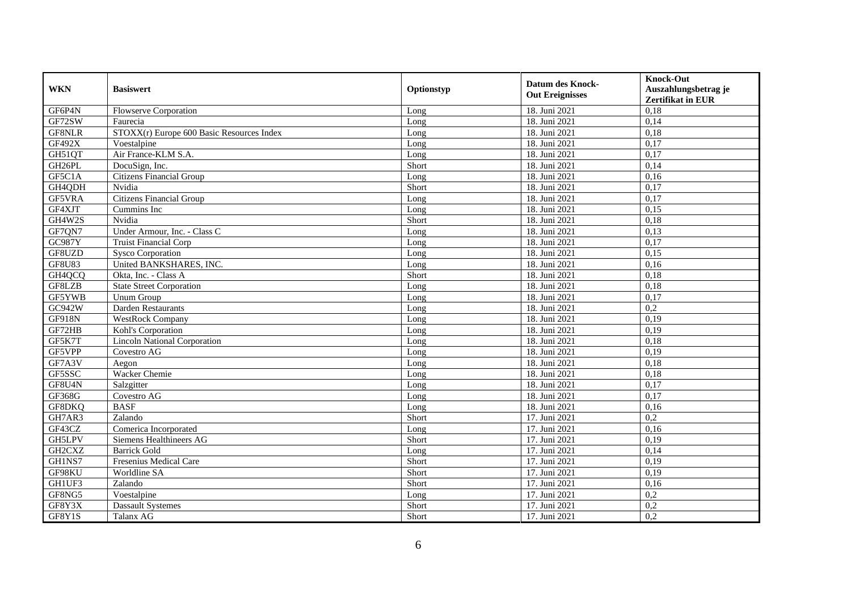| <b>WKN</b>    |                                           |            | <b>Datum des Knock-</b> | <b>Knock-Out</b>         |
|---------------|-------------------------------------------|------------|-------------------------|--------------------------|
|               | <b>Basiswert</b>                          | Optionstyp | <b>Out Ereignisses</b>  | Auszahlungsbetrag je     |
|               |                                           |            |                         | <b>Zertifikat in EUR</b> |
| GF6P4N        | <b>Flowserve Corporation</b>              | Long       | 18. Juni 2021           | 0,18                     |
| GF72SW        | Faurecia                                  | Long       | 18. Juni 2021           | 0,14                     |
| GF8NLR        | STOXX(r) Europe 600 Basic Resources Index | Long       | 18. Juni 2021           | 0,18                     |
| <b>GF492X</b> | Voestalpine                               | Long       | 18. Juni 2021           | 0,17                     |
| GH51QT        | Air France-KLM S.A.                       | Long       | 18. Juni 2021           | 0,17                     |
| GH26PL        | DocuSign, Inc.                            | Short      | 18. Juni 2021           | 0,14                     |
| GF5C1A        | <b>Citizens Financial Group</b>           | Long       | 18. Juni 2021           | 0,16                     |
| GH4QDH        | Nvidia                                    | Short      | 18. Juni 2021           | 0,17                     |
| GF5VRA        | <b>Citizens Financial Group</b>           | Long       | 18. Juni 2021           | 0,17                     |
| GF4XJT        | Cummins Inc                               | Long       | 18. Juni 2021           | 0,15                     |
| GH4W2S        | Nvidia                                    | Short      | 18. Juni 2021           | 0,18                     |
| GF7QN7        | Under Armour, Inc. - Class C              | Long       | 18. Juni 2021           | 0,13                     |
| GC987Y        | <b>Truist Financial Corp</b>              | Long       | 18. Juni 2021           | 0,17                     |
| GF8UZD        | Sysco Corporation                         | Long       | 18. Juni 2021           | 0,15                     |
| <b>GF8U83</b> | United BANKSHARES, INC.                   | Long       | 18. Juni 2021           | 0,16                     |
| GH4QCQ        | Okta, Inc. - Class A                      | Short      | 18. Juni 2021           | 0,18                     |
| GF8LZB        | <b>State Street Corporation</b>           | Long       | 18. Juni 2021           | 0,18                     |
| GF5YWB        | Unum Group                                | Long       | 18. Juni 2021           | 0,17                     |
| GC942W        | Darden Restaurants                        | Long       | 18. Juni 2021           | 0,2                      |
| <b>GF918N</b> | <b>WestRock Company</b>                   | Long       | 18. Juni 2021           | 0,19                     |
| GF72HB        | Kohl's Corporation                        | Long       | 18. Juni 2021           | 0,19                     |
| GF5K7T        | <b>Lincoln National Corporation</b>       | Long       | 18. Juni 2021           | 0,18                     |
| GF5VPP        | Covestro AG                               | Long       | 18. Juni 2021           | 0,19                     |
| GF7A3V        | Aegon                                     | Long       | 18. Juni 2021           | 0,18                     |
| GF5SSC        | Wacker Chemie                             | Long       | 18. Juni 2021           | 0,18                     |
| GF8U4N        | Salzgitter                                | Long       | 18. Juni 2021           | 0,17                     |
| GF368G        | Covestro AG                               | Long       | 18. Juni 2021           | 0,17                     |
| GF8DKQ        | <b>BASF</b>                               | Long       | 18. Juni 2021           | 0,16                     |
| GH7AR3        | Zalando                                   | Short      | 17. Juni 2021           | 0,2                      |
| GF43CZ        | Comerica Incorporated                     | Long       | 17. Juni 2021           | 0,16                     |
| GH5LPV        | Siemens Healthineers AG                   | Short      | 17. Juni 2021           | 0,19                     |
| GH2CXZ        | <b>Barrick Gold</b>                       | Long       | 17. Juni 2021           | 0,14                     |
| GH1NS7        | <b>Fresenius Medical Care</b>             | Short      | 17. Juni 2021           | 0,19                     |
| GF98KU        | Worldline SA                              | Short      | 17. Juni 2021           | 0,19                     |
| GH1UF3        | Zalando                                   | Short      | 17. Juni 2021           | 0,16                     |
| GF8NG5        | Voestalpine                               | Long       | 17. Juni 2021           | 0,2                      |
| GF8Y3X        | <b>Dassault Systemes</b>                  | Short      | 17. Juni 2021           | 0,2                      |
| GF8Y1S        | Talanx AG                                 | Short      | 17. Juni 2021           | 0,2                      |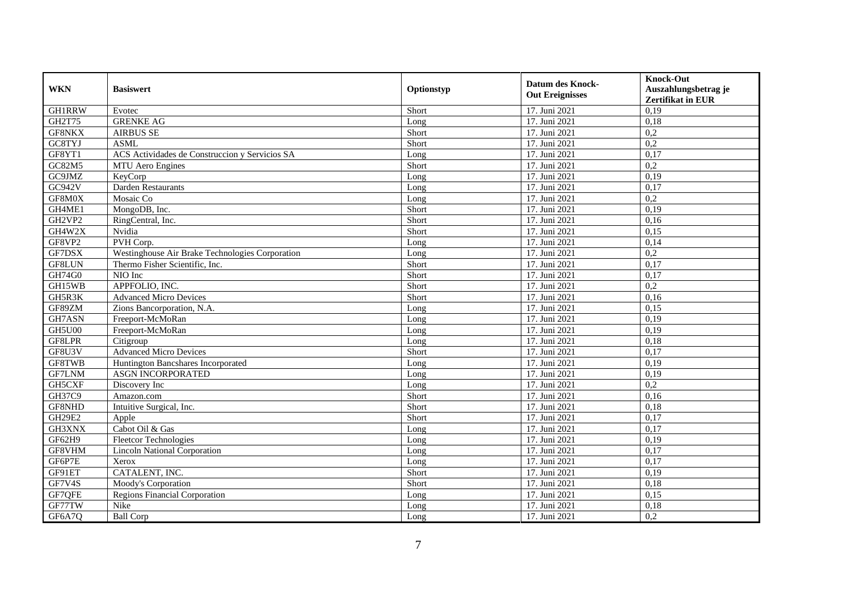| <b>WKN</b>    | <b>Basiswert</b>                                | Optionstyp | <b>Datum des Knock-</b><br><b>Out Ereignisses</b> | <b>Knock-Out</b><br>Auszahlungsbetrag je<br>Zertifikat in EUR |
|---------------|-------------------------------------------------|------------|---------------------------------------------------|---------------------------------------------------------------|
| <b>GH1RRW</b> | Evotec                                          | Short      | 17. Juni 2021                                     | 0,19                                                          |
| GH2T75        | <b>GRENKE AG</b>                                | Long       | 17. Juni 2021                                     | 0,18                                                          |
| GF8NKX        | <b>AIRBUS SE</b>                                | Short      | 17. Juni 2021                                     | 0,2                                                           |
| GC8TYJ        | <b>ASML</b>                                     | Short      | 17. Juni 2021                                     | 0,2                                                           |
| GF8YT1        | ACS Actividades de Construccion y Servicios SA  | Long       | 17. Juni 2021                                     | 0,17                                                          |
| GC82M5        | MTU Aero Engines                                | Short      | 17. Juni 2021                                     | $\overline{0.2}$                                              |
| GC9JMZ        | KeyCorp                                         | Long       | 17. Juni 2021                                     | 0,19                                                          |
| GC942V        | Darden Restaurants                              | Long       | 17. Juni 2021                                     | 0,17                                                          |
| GF8M0X        | Mosaic Co                                       | Long       | 17. Juni 2021                                     | 0,2                                                           |
| GH4ME1        | MongoDB, Inc.                                   | Short      | 17. Juni 2021                                     | 0,19                                                          |
| GH2VP2        | RingCentral, Inc.                               | Short      | 17. Juni 2021                                     | 0,16                                                          |
| GH4W2X        | Nvidia                                          | Short      | 17. Juni 2021                                     | 0,15                                                          |
| GF8VP2        | PVH Corp.                                       | Long       | 17. Juni 2021                                     | 0,14                                                          |
| GF7DSX        | Westinghouse Air Brake Technologies Corporation | Long       | 17. Juni 2021                                     | 0,2                                                           |
| GF8LUN        | Thermo Fisher Scientific, Inc.                  | Short      | 17. Juni 2021                                     | 0,17                                                          |
| GH74G0        | NIO Inc                                         | Short      | 17. Juni 2021                                     | 0,17                                                          |
| GH15WB        | APPFOLIO, INC.                                  | Short      | 17. Juni 2021                                     | 0,2                                                           |
| GH5R3K        | <b>Advanced Micro Devices</b>                   | Short      | 17. Juni 2021                                     | 0,16                                                          |
| GF89ZM        | Zions Bancorporation, N.A.                      | Long       | 17. Juni 2021                                     | 0,15                                                          |
| GH7ASN        | Freeport-McMoRan                                | Long       | 17. Juni 2021                                     | 0,19                                                          |
| <b>GH5U00</b> | Freeport-McMoRan                                | Long       | 17. Juni 2021                                     | 0,19                                                          |
| GF8LPR        | Citigroup                                       | Long       | 17. Juni 2021                                     | 0,18                                                          |
| GF8U3V        | <b>Advanced Micro Devices</b>                   | Short      | 17. Juni 2021                                     | 0,17                                                          |
| GF8TWB        | Huntington Bancshares Incorporated              | Long       | 17. Juni 2021                                     | 0,19                                                          |
| <b>GF7LNM</b> | <b>ASGN INCORPORATED</b>                        | Long       | 17. Juni 2021                                     | 0.19                                                          |
| GH5CXF        | Discovery Inc                                   | Long       | 17. Juni 2021                                     | 0,2                                                           |
| GH37C9        | Amazon.com                                      | Short      | 17. Juni 2021                                     | 0,16                                                          |
| GF8NHD        | Intuitive Surgical, Inc.                        | Short      | 17. Juni 2021                                     | 0.18                                                          |
| <b>GH29E2</b> | Apple                                           | Short      | 17. Juni 2021                                     | 0,17                                                          |
| GH3XNX        | Cabot Oil & Gas                                 | Long       | 17. Juni 2021                                     | 0,17                                                          |
| GF62H9        | <b>Fleetcor Technologies</b>                    | Long       | 17. Juni 2021                                     | 0,19                                                          |
| GF8VHM        | <b>Lincoln National Corporation</b>             | Long       | 17. Juni 2021                                     | 0,17                                                          |
| GF6P7E        | Xerox                                           | Long       | 17. Juni 2021                                     | 0,17                                                          |
| GF91ET        | CATALENT, INC.                                  | Short      | 17. Juni 2021                                     | 0,19                                                          |
| GF7V4S        | Moody's Corporation                             | Short      | 17. Juni 2021                                     | 0,18                                                          |
| GF7QFE        | <b>Regions Financial Corporation</b>            | Long       | 17. Juni 2021                                     | 0,15                                                          |
| GF77TW        | Nike                                            | Long       | 17. Juni 2021                                     | 0,18                                                          |
| GF6A7Q        | <b>Ball Corp</b>                                | Long       | 17. Juni 2021                                     | 0,2                                                           |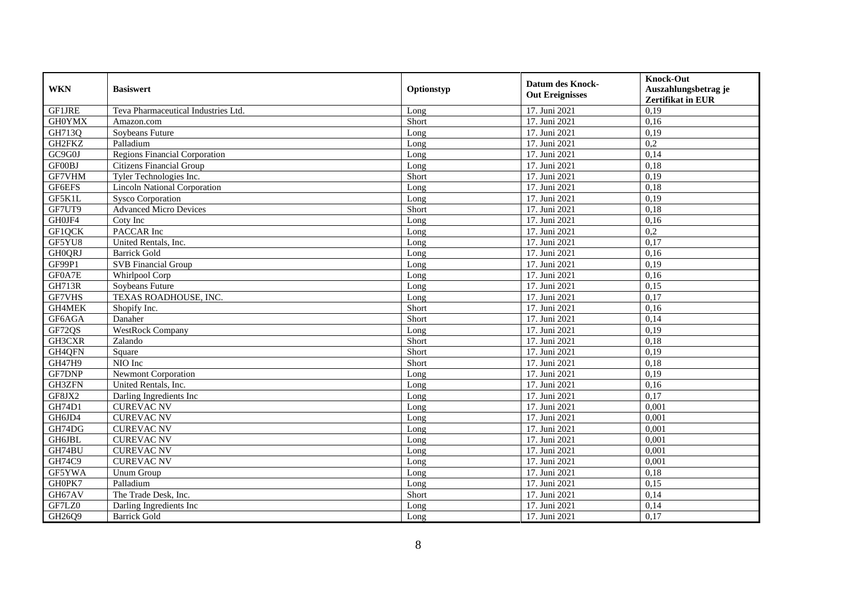| <b>WKN</b>    | <b>Basiswert</b>                    | Optionstyp | <b>Datum des Knock-</b><br><b>Out Ereignisses</b> | <b>Knock-Out</b><br>Auszahlungsbetrag je<br><b>Zertifikat in EUR</b> |
|---------------|-------------------------------------|------------|---------------------------------------------------|----------------------------------------------------------------------|
| GF1JRE        | Teva Pharmaceutical Industries Ltd. | Long       | 17. Juni 2021                                     | 0,19                                                                 |
| <b>GH0YMX</b> | Amazon.com                          | Short      | 17. Juni 2021                                     | 0,16                                                                 |
| GH713Q        | Sovbeans Future                     | Long       | 17. Juni 2021                                     | 0,19                                                                 |
| GH2FKZ        | Palladium                           | Long       | 17. Juni 2021                                     | 0,2                                                                  |
| GC9G0J        | Regions Financial Corporation       | Long       | 17. Juni 2021                                     | 0,14                                                                 |
| GF00BJ        | <b>Citizens Financial Group</b>     | Long       | 17. Juni 2021                                     | 0,18                                                                 |
| GF7VHM        | Tyler Technologies Inc.             | Short      | 17. Juni 2021                                     | 0,19                                                                 |
| GF6EFS        | <b>Lincoln National Corporation</b> | Long       | 17. Juni 2021                                     | 0,18                                                                 |
| GF5K1L        | <b>Sysco Corporation</b>            | Long       | 17. Juni 2021                                     | 0,19                                                                 |
| GF7UT9        | <b>Advanced Micro Devices</b>       | Short      | 17. Juni 2021                                     | 0,18                                                                 |
| GH0JF4        | Coty Inc                            | Long       | 17. Juni 2021                                     | 0,16                                                                 |
| GF1QCK        | PACCAR Inc                          | Long       | 17. Juni 2021                                     | 0,2                                                                  |
| GF5YU8        | United Rentals, Inc.                | Long       | 17. Juni 2021                                     | 0,17                                                                 |
| <b>GHOQRJ</b> | Barrick Gold                        | Long       | 17. Juni 2021                                     | 0.16                                                                 |
| GF99P1        | <b>SVB</b> Financial Group          | Long       | 17. Juni 2021                                     | 0,19                                                                 |
| GF0A7E        | Whirlpool Corp                      | Long       | 17. Juni 2021                                     | 0,16                                                                 |
| <b>GH713R</b> | Soybeans Future                     | Long       | 17. Juni 2021                                     | 0,15                                                                 |
| GF7VHS        | TEXAS ROADHOUSE, INC.               | Long       | 17. Juni 2021                                     | 0,17                                                                 |
| GH4MEK        | Shopify Inc.                        | Short      | 17. Juni 2021                                     | 0,16                                                                 |
| GF6AGA        | Danaher                             | Short      | 17. Juni 2021                                     | 0,14                                                                 |
| GF72QS        | <b>WestRock Company</b>             | Long       | 17. Juni 2021                                     | 0,19                                                                 |
| GH3CXR        | Zalando                             | Short      | 17. Juni 2021                                     | 0.18                                                                 |
| GH4QFN        | Square                              | Short      | 17. Juni 2021                                     | 0,19                                                                 |
| GH47H9        | NIO Inc                             | Short      | 17. Juni 2021                                     | 0,18                                                                 |
| GF7DNP        | <b>Newmont Corporation</b>          | Long       | 17. Juni 2021                                     | 0,19                                                                 |
| GH3ZFN        | United Rentals, Inc.                | Long       | 17. Juni 2021                                     | 0,16                                                                 |
| GF8JX2        | Darling Ingredients Inc             | Long       | 17. Juni 2021                                     | 0,17                                                                 |
| <b>GH74D1</b> | <b>CUREVAC NV</b>                   | Long       | 17. Juni 2021                                     | 0,001                                                                |
| GH6JD4        | <b>CUREVAC NV</b>                   | Long       | 17. Juni 2021                                     | 0,001                                                                |
| GH74DG        | <b>CUREVAC NV</b>                   | Long       | 17. Juni 2021                                     | 0,001                                                                |
| GH6JBL        | <b>CUREVAC NV</b>                   | Long       | 17. Juni 2021                                     | 0,001                                                                |
| GH74BU        | <b>CUREVAC NV</b>                   | Long       | 17. Juni 2021                                     | 0,001                                                                |
| GH74C9        | <b>CUREVAC NV</b>                   | Long       | 17. Juni 2021                                     | 0,001                                                                |
| GF5YWA        | Unum Group                          | Long       | 17. Juni 2021                                     | 0,18                                                                 |
| GH0PK7        | Palladium                           | Long       | 17. Juni 2021                                     | 0,15                                                                 |
| GH67AV        | The Trade Desk, Inc.                | Short      | 17. Juni 2021                                     | 0,14                                                                 |
| GF7LZ0        | Darling Ingredients Inc             | Long       | 17. Juni 2021                                     | 0,14                                                                 |
| GH26Q9        | <b>Barrick Gold</b>                 | Long       | 17. Juni 2021                                     | 0,17                                                                 |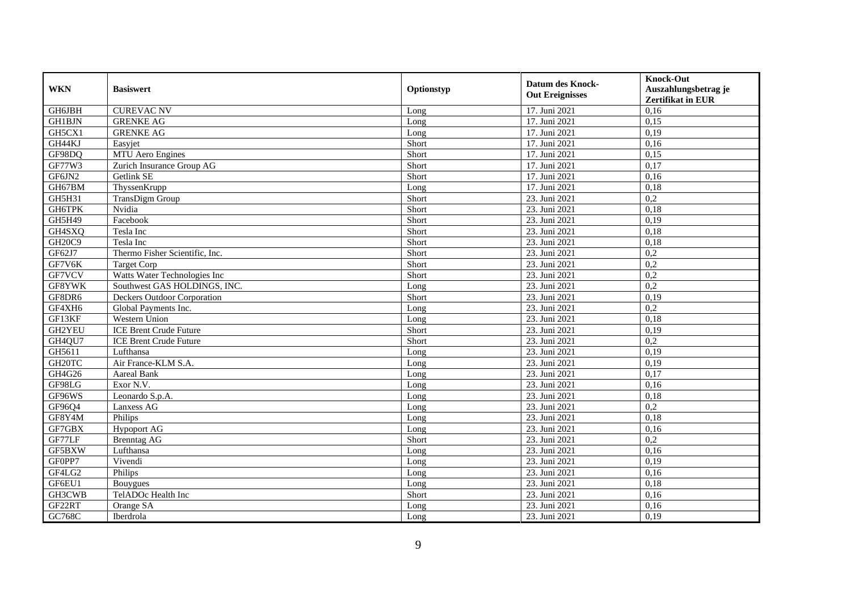| <b>WKN</b>          | <b>Basiswert</b>               | Optionstyp | <b>Datum des Knock-</b><br><b>Out Ereignisses</b> | <b>Knock-Out</b><br>Auszahlungsbetrag je<br>Zertifikat in EUR |
|---------------------|--------------------------------|------------|---------------------------------------------------|---------------------------------------------------------------|
| GH6JBH              | <b>CUREVAC NV</b>              | Long       | 17. Juni 2021                                     | 0,16                                                          |
| <b>GH1BJN</b>       | <b>GRENKE AG</b>               | Long       | 17. Juni 2021                                     | 0,15                                                          |
| GH5CX1              | <b>GRENKE AG</b>               | Long       | 17. Juni 2021                                     | 0,19                                                          |
| GH44KJ              | Easyjet                        | Short      | 17. Juni 2021                                     | 0,16                                                          |
| GF98DQ              | <b>MTU</b> Aero Engines        | Short      | 17. Juni 2021                                     | 0,15                                                          |
| GF77W3              | Zurich Insurance Group AG      | Short      | 17. Juni 2021                                     | 0,17                                                          |
| GF6JN2              | Getlink SE                     | Short      | 17. Juni 2021                                     | 0,16                                                          |
| GH67BM              | ThyssenKrupp                   | Long       | 17. Juni 2021                                     | 0,18                                                          |
| GH5H31              | TransDigm Group                | Short      | 23. Juni 2021                                     | 0,2                                                           |
| GH6TPK              | Nvidia                         | Short      | 23. Juni 2021                                     | 0,18                                                          |
| <b>GH5H49</b>       | Facebook                       | Short      | 23. Juni 2021                                     | 0,19                                                          |
| GH4SXQ              | Tesla Inc                      | Short      | 23. Juni 2021                                     | 0,18                                                          |
| GH20C9              | Tesla Inc                      | Short      | 23. Juni 2021                                     | 0,18                                                          |
| GF62J7              | Thermo Fisher Scientific, Inc. | Short      | 23. Juni 2021                                     | 0,2                                                           |
| GF7V6K              | <b>Target Corp</b>             | Short      | 23. Juni 2021                                     | 0,2                                                           |
| GF7VCV              | Watts Water Technologies Inc   | Short      | 23. Juni 2021                                     | 0,2                                                           |
| GF8YWK              | Southwest GAS HOLDINGS, INC.   | Long       | 23. Juni 2021                                     | 0,2                                                           |
| GF8DR6              | Deckers Outdoor Corporation    | Short      | 23. Juni 2021                                     | 0,19                                                          |
| GF4XH6              | Global Payments Inc.           | Long       | 23. Juni 2021                                     | 0,2                                                           |
| GF13KF              | Western Union                  | Long       | 23. Juni 2021                                     | 0,18                                                          |
| GH2YEU              | <b>ICE Brent Crude Future</b>  | Short      | 23. Juni 2021                                     | 0,19                                                          |
| GH4QU7              | <b>ICE Brent Crude Future</b>  | Short      | 23. Juni 2021                                     | 0,2                                                           |
| GH5611              | Lufthansa                      | Long       | 23. Juni 2021                                     | 0,19                                                          |
| GH <sub>20</sub> TC | Air France-KLM S.A.            | Long       | 23. Juni 2021                                     | 0,19                                                          |
| GH4G26              | <b>Aareal Bank</b>             | Long       | 23. Juni 2021                                     | 0,17                                                          |
| GF98LG              | Exor N.V.                      | Long       | 23. Juni 2021                                     | 0,16                                                          |
| GF96WS              | Leonardo S.p.A.                | Long       | 23. Juni 2021                                     | 0,18                                                          |
| GF96Q4              | Lanxess AG                     | Long       | 23. Juni 2021                                     | $\overline{0.2}$                                              |
| GF8Y4M              | Philips                        | Long       | 23. Juni 2021                                     | 0,18                                                          |
| GF7GBX              | <b>Hypoport AG</b>             | Long       | 23. Juni 2021                                     | 0,16                                                          |
| GF77LF              | <b>Brenntag AG</b>             | Short      | 23. Juni 2021                                     | 0,2                                                           |
| GF5BXW              | Lufthansa                      | Long       | 23. Juni 2021                                     | 0,16                                                          |
| GF0PP7              | Vivendi                        | Long       | 23. Juni 2021                                     | 0,19                                                          |
| GF4LG2              | Philips                        | Long       | 23. Juni 2021                                     | 0,16                                                          |
| GF6EU1              | Bouygues                       | Long       | 23. Juni 2021                                     | 0,18                                                          |
| GH3CWB              | TelADOc Health Inc             | Short      | 23. Juni 2021                                     | 0,16                                                          |
| GF22RT              | Orange SA                      | Long       | 23. Juni 2021                                     | 0,16                                                          |
| GC768C              | Iberdrola                      | Long       | 23. Juni 2021                                     | 0,19                                                          |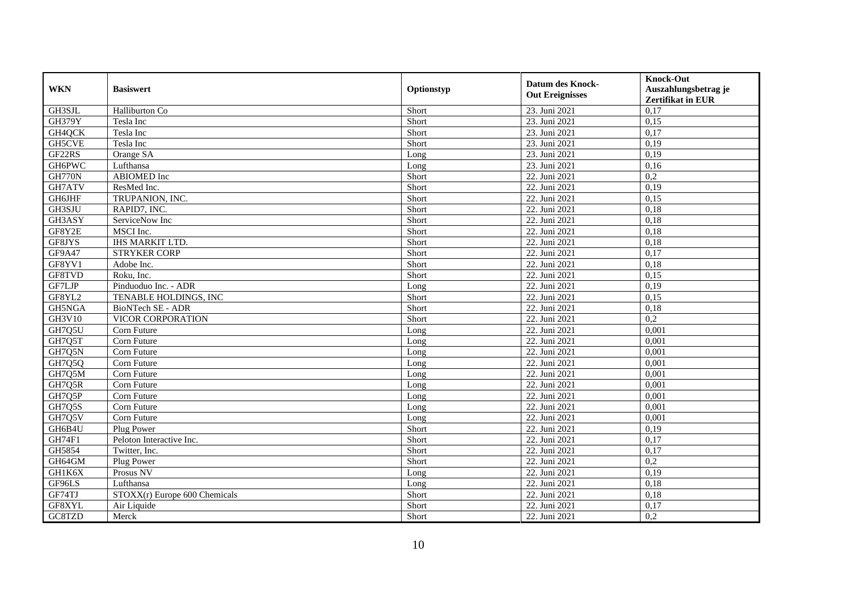| <b>WKN</b>    | <b>Basiswert</b>              | Optionstyp | <b>Datum des Knock-</b><br><b>Out Ereignisses</b> | <b>Knock-Out</b><br>Auszahlungsbetrag je<br><b>Zertifikat in EUR</b> |
|---------------|-------------------------------|------------|---------------------------------------------------|----------------------------------------------------------------------|
| GH3SJL        | Halliburton Co                | Short      | 23. Juni 2021                                     | 0,17                                                                 |
| <b>GH379Y</b> | Tesla Inc                     | Short      | 23. Juni 2021                                     | 0,15                                                                 |
| GH4QCK        | Tesla Inc                     | Short      | 23. Juni 2021                                     | 0,17                                                                 |
| GH5CVE        | Tesla Inc                     | Short      | 23. Juni 2021                                     | 0,19                                                                 |
| GF22RS        | Orange SA                     | Long       | 23. Juni 2021                                     | 0,19                                                                 |
| <b>GH6PWC</b> | Lufthansa                     | Long       | 23. Juni 2021                                     | 0,16                                                                 |
| <b>GH770N</b> | ABIOMED Inc                   | Short      | 22. Juni 2021                                     | 0,2                                                                  |
| GH7ATV        | ResMed Inc.                   | Short      | 22. Juni 2021                                     | 0,19                                                                 |
| <b>GH6JHF</b> | TRUPANION, INC.               | Short      | 22. Juni 2021                                     | 0,15                                                                 |
| GH3SJU        | RAPID7, INC.                  | Short      | 22. Juni 2021                                     | 0,18                                                                 |
| GH3ASY        | ServiceNow Inc                | Short      | 22. Juni 2021                                     | 0,18                                                                 |
| GF8Y2E        | MSCI Inc.                     | Short      | 22. Juni 2021                                     | 0,18                                                                 |
| GF8JYS        | <b>IHS MARKIT LTD.</b>        | Short      | 22. Juni 2021                                     | 0,18                                                                 |
| GF9A47        | <b>STRYKER CORP</b>           | Short      | 22. Juni 2021                                     | 0,17                                                                 |
| GF8YV1        | Adobe Inc.                    | Short      | 22. Juni 2021                                     | 0,18                                                                 |
| GF8TVD        | Roku, Inc.                    | Short      | 22. Juni 2021                                     | 0,15                                                                 |
| GF7LJP        | Pinduoduo Inc. - ADR          | Long       | 22. Juni 2021                                     | 0,19                                                                 |
| GF8YL2        | TENABLE HOLDINGS, INC         | Short      | 22. Juni 2021                                     | 0.15                                                                 |
| GH5NGA        | BioNTech SE - ADR             | Short      | 22. Juni 2021                                     | 0,18                                                                 |
| GH3V10        | VICOR CORPORATION             | Short      | 22. Juni 2021                                     | 0,2                                                                  |
| GH7Q5U        | Corn Future                   | Long       | 22. Juni 2021                                     | 0,001                                                                |
| GH7Q5T        | Corn Future                   | Long       | 22. Juni 2021                                     | 0,001                                                                |
| GH7Q5N        | Corn Future                   | Long       | 22. Juni 2021                                     | 0,001                                                                |
| GH7Q5Q        | Corn Future                   | Long       | 22. Juni 2021                                     | 0,001                                                                |
| GH7Q5M        | Corn Future                   | Long       | 22. Juni 2021                                     | 0.001                                                                |
| GH7Q5R        | Corn Future                   | Long       | 22. Juni 2021                                     | 0,001                                                                |
| GH7Q5P        | Corn Future                   | Long       | 22. Juni 2021                                     | 0,001                                                                |
| GH7Q5S        | Corn Future                   | Long       | 22. Juni 2021                                     | 0,001                                                                |
| GH7Q5V        | Corn Future                   | Long       | 22. Juni 2021                                     | 0,001                                                                |
| GH6B4U        | Plug Power                    | Short      | 22. Juni 2021                                     | 0,19                                                                 |
| GH74F1        | Peloton Interactive Inc.      | Short      | 22. Juni 2021                                     | 0,17                                                                 |
| GH5854        | Twitter, Inc.                 | Short      | 22. Juni 2021                                     | 0,17                                                                 |
| GH64GM        | Plug Power                    | Short      | 22. Juni 2021                                     | $\overline{0.2}$                                                     |
| GH1K6X        | Prosus NV                     | Long       | 22. Juni 2021                                     | 0,19                                                                 |
| GF96LS        | Lufthansa                     | Long       | 22. Juni 2021                                     | 0,18                                                                 |
| GF74TJ        | STOXX(r) Europe 600 Chemicals | Short      | 22. Juni 2021                                     | 0,18                                                                 |
| GF8XYL        | Air Liquide                   | Short      | 22. Juni 2021                                     | 0,17                                                                 |
| GC8TZD        | Merck                         | Short      | 22. Juni 2021                                     | 0,2                                                                  |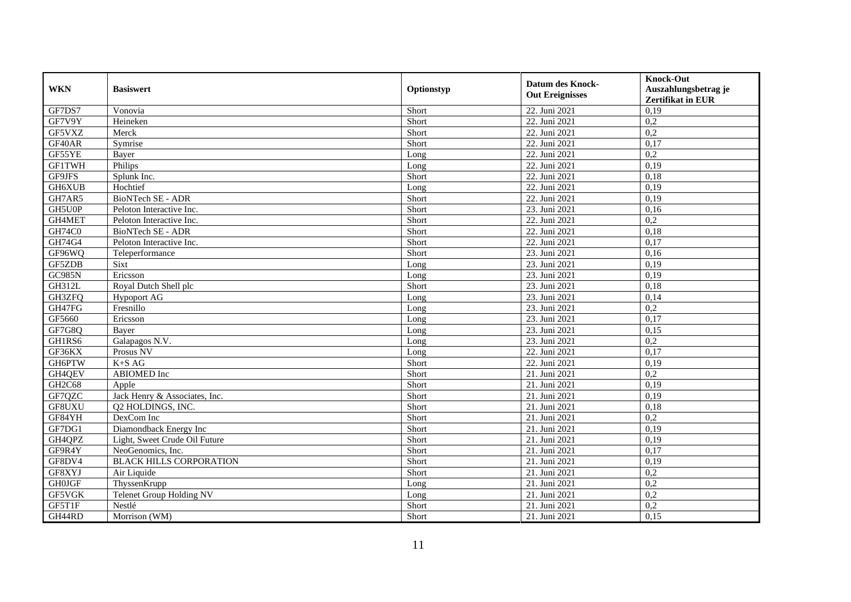| <b>WKN</b>    | <b>Basiswert</b>                | Optionstyp | <b>Datum des Knock-</b><br><b>Out Ereignisses</b> | <b>Knock-Out</b><br>Auszahlungsbetrag je<br>Zertifikat in EUR |
|---------------|---------------------------------|------------|---------------------------------------------------|---------------------------------------------------------------|
| GF7DS7        | Vonovia                         | Short      | 22. Juni 2021                                     | 0,19                                                          |
| GF7V9Y        | Heineken                        | Short      | 22. Juni 2021                                     | 0,2                                                           |
| GF5VXZ        | Merck                           | Short      | 22. Juni 2021                                     | 0,2                                                           |
| GF40AR        | Symrise                         | Short      | 22. Juni 2021                                     | 0,17                                                          |
| GF55YE        | Bayer                           | Long       | 22. Juni 2021                                     | 0,2                                                           |
| <b>GF1TWH</b> | Philips                         | Long       | 22. Juni 2021                                     | 0,19                                                          |
| GF9JFS        | Splunk Inc.                     | Short      | 22. Juni 2021                                     | 0,18                                                          |
| GH6XUB        | Hochtief                        | Long       | 22. Juni 2021                                     | 0,19                                                          |
| GH7AR5        | BioNTech SE - ADR               | Short      | 22. Juni 2021                                     | 0,19                                                          |
| GH5U0P        | Peloton Interactive Inc.        | Short      | 23. Juni 2021                                     | 0,16                                                          |
| GH4MET        | Peloton Interactive Inc.        | Short      | 22. Juni 2021                                     | 0,2                                                           |
| GH74C0        | BioNTech SE - ADR               | Short      | 22. Juni 2021                                     | 0,18                                                          |
| GH74G4        | Peloton Interactive Inc.        | Short      | 22. Juni 2021                                     | 0,17                                                          |
| GF96WQ        | Teleperformance                 | Short      | 23. Juni 2021                                     | 0,16                                                          |
| GF5ZDB        | Sixt                            | Long       | 23. Juni 2021                                     | 0,19                                                          |
| <b>GC985N</b> | Ericsson                        | Long       | 23. Juni 2021                                     | 0,19                                                          |
| GH312L        | Royal Dutch Shell plc           | Short      | 23. Juni 2021                                     | 0,18                                                          |
| GH3ZFQ        | <b>Hypoport AG</b>              | Long       | 23. Juni 2021                                     | 0,14                                                          |
| GH47FG        | Fresnillo                       | Long       | 23. Juni 2021                                     | 0,2                                                           |
| GF5660        | Ericsson                        | Long       | 23. Juni 2021                                     | 0,17                                                          |
| GF7G8Q        | Bayer                           | Long       | 23. Juni 2021                                     | 0,15                                                          |
| GH1RS6        | Galapagos N.V.                  | Long       | 23. Juni 2021                                     | 0,2                                                           |
| GF36KX        | Prosus NV                       | Long       | 22. Juni 2021                                     | 0,17                                                          |
| <b>GH6PTW</b> | $K+SAG$                         | Short      | 22. Juni 2021                                     | 0,19                                                          |
| GH4QEV        | <b>ABIOMED</b> Inc              | Short      | 21. Juni 2021                                     | 0,2                                                           |
| GH2C68        | Apple                           | Short      | 21. Juni 2021                                     | 0,19                                                          |
| GF7QZC        | Jack Henry & Associates, Inc.   | Short      | 21. Juni 2021                                     | 0,19                                                          |
| GF8UXU        | Q2 HOLDINGS, INC.               | Short      | 21. Juni 2021                                     | 0,18                                                          |
| GF84YH        | DexCom Inc                      | Short      | 21. Juni 2021                                     | 0,2                                                           |
| GF7DG1        | Diamondback Energy Inc          | Short      | 21. Juni 2021                                     | 0,19                                                          |
| GH4QPZ        | Light, Sweet Crude Oil Future   | Short      | 21. Juni 2021                                     | 0,19                                                          |
| GF9R4Y        | NeoGenomics, Inc.               | Short      | 21. Juni 2021                                     | 0,17                                                          |
| GF8DV4        | <b>BLACK HILLS CORPORATION</b>  | Short      | 21. Juni 2021                                     | 0,19                                                          |
| GF8XYJ        | Air Liquide                     | Short      | 21. Juni 2021                                     | 0,2                                                           |
| <b>GH0JGF</b> | ThyssenKrupp                    | Long       | 21. Juni 2021                                     | 0,2                                                           |
| GF5VGK        | <b>Telenet Group Holding NV</b> | Long       | 21. Juni 2021                                     | 0,2                                                           |
| GF5T1F        | Nestlé                          | Short      | 21. Juni 2021                                     | 0,2                                                           |
| GH44RD        | Morrison (WM)                   | Short      | 21. Juni 2021                                     | 0,15                                                          |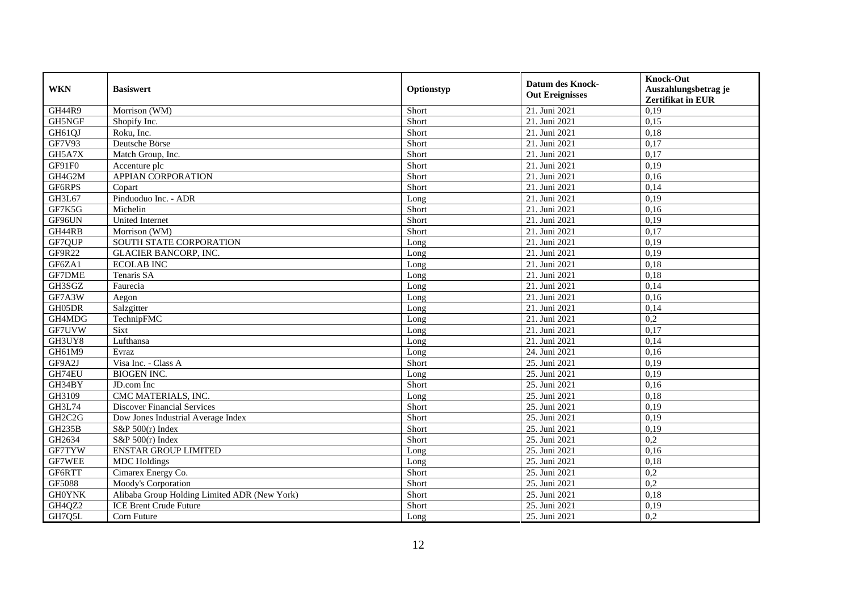| <b>WKN</b>                      | <b>Basiswert</b>                             | Optionstyp | <b>Datum des Knock-</b><br><b>Out Ereignisses</b> | <b>Knock-Out</b><br>Auszahlungsbetrag je<br><b>Zertifikat in EUR</b> |
|---------------------------------|----------------------------------------------|------------|---------------------------------------------------|----------------------------------------------------------------------|
| GH44R9                          | Morrison (WM)                                | Short      | 21. Juni 2021                                     | 0,19                                                                 |
| GH5NGF                          | Shopify Inc.                                 | Short      | 21. Juni 2021                                     | 0,15                                                                 |
| GH61QJ                          | Roku, Inc.                                   | Short      | 21. Juni 2021                                     | 0,18                                                                 |
| <b>GF7V93</b>                   | Deutsche Börse                               | Short      | $\overline{21}$ . Juni 2021                       | 0,17                                                                 |
| GH5A7X                          | Match Group, Inc.                            | Short      | 21. Juni 2021                                     | 0,17                                                                 |
| GF91F0                          | Accenture plc                                | Short      | 21. Juni 2021                                     | 0,19                                                                 |
| GH4G2M                          | APPIAN CORPORATION                           | Short      | 21. Juni 2021                                     | 0,16                                                                 |
| GF6RPS                          | Copart                                       | Short      | 21. Juni 2021                                     | 0,14                                                                 |
| GH3L67                          | Pinduoduo Inc. - ADR                         | Long       | 21. Juni 2021                                     | 0,19                                                                 |
| GF7K5G                          | Michelin                                     | Short      | 21. Juni 2021                                     | 0,16                                                                 |
| GF96UN                          | United Internet                              | Short      | 21. Juni 2021                                     | 0,19                                                                 |
| GH44RB                          | Morrison (WM)                                | Short      | 21. Juni 2021                                     | 0,17                                                                 |
| GF7QUP                          | SOUTH STATE CORPORATION                      | Long       | 21. Juni 2021                                     | 0,19                                                                 |
| GF9R22                          | <b>GLACIER BANCORP, INC.</b>                 | Long       | 21. Juni 2021                                     | 0,19                                                                 |
| GF6ZA1                          | <b>ECOLAB INC</b>                            | Long       | 21. Juni 2021                                     | 0,18                                                                 |
| <b>GF7DME</b>                   | Tenaris SA                                   | Long       | 21. Juni 2021                                     | 0,18                                                                 |
| GH3SGZ                          | Faurecia                                     | Long       | 21. Juni 2021                                     | 0,14                                                                 |
| GF7A3W                          | Aegon                                        | Long       | 21. Juni 2021                                     | 0.16                                                                 |
| GH05DR                          | Salzgitter                                   | Long       | 21. Juni 2021                                     | 0,14                                                                 |
| GH4MDG                          | TechnipFMC                                   | Long       | 21. Juni 2021                                     | 0,2                                                                  |
| GF7UVW                          | Sixt                                         | Long       | 21. Juni 2021                                     | 0,17                                                                 |
| GH3UY8                          | Lufthansa                                    | Long       | 21. Juni 2021                                     | 0,14                                                                 |
| GH61M9                          | Evraz                                        | Long       | 24. Juni 2021                                     | 0,16                                                                 |
| GF9A2J                          | Visa Inc. - Class A                          | Short      | 25. Juni 2021                                     | 0,19                                                                 |
| GH74EU                          | <b>BIOGEN INC.</b>                           | Long       | 25. Juni 2021                                     | 0.19                                                                 |
| GH34BY                          | JD.com Inc                                   | Short      | 25. Juni 2021                                     | 0,16                                                                 |
| GH3109                          | CMC MATERIALS, INC.                          | Long       | 25. Juni 2021                                     | 0,18                                                                 |
| GH3L74                          | <b>Discover Financial Services</b>           | Short      | 25. Juni 2021                                     | 0,19                                                                 |
| GH <sub>2</sub> C <sub>2G</sub> | Dow Jones Industrial Average Index           | Short      | 25. Juni 2021                                     | 0,19                                                                 |
| <b>GH235B</b>                   | S&P $500(r)$ Index                           | Short      | 25. Juni 2021                                     | 0,19                                                                 |
| GH2634                          | S&P 500(r) Index                             | Short      | 25. Juni 2021                                     | 0,2                                                                  |
| GF7TYW                          | <b>ENSTAR GROUP LIMITED</b>                  | Long       | 25. Juni 2021                                     | 0,16                                                                 |
| GF7WEE                          | <b>MDC</b> Holdings                          | Long       | 25. Juni 2021                                     | 0,18                                                                 |
| GF6RTT                          | Cimarex Energy Co.                           | Short      | 25. Juni 2021                                     | 0,2                                                                  |
| GF5088                          | Moody's Corporation                          | Short      | 25. Juni 2021                                     | 0,2                                                                  |
| <b>GH0YNK</b>                   | Alibaba Group Holding Limited ADR (New York) | Short      | 25. Juni 2021                                     | 0,18                                                                 |
| GH4QZ2                          | <b>ICE Brent Crude Future</b>                | Short      | 25. Juni 2021                                     | 0,19                                                                 |
| GH7Q5L                          | Corn Future                                  | Long       | 25. Juni 2021                                     | 0,2                                                                  |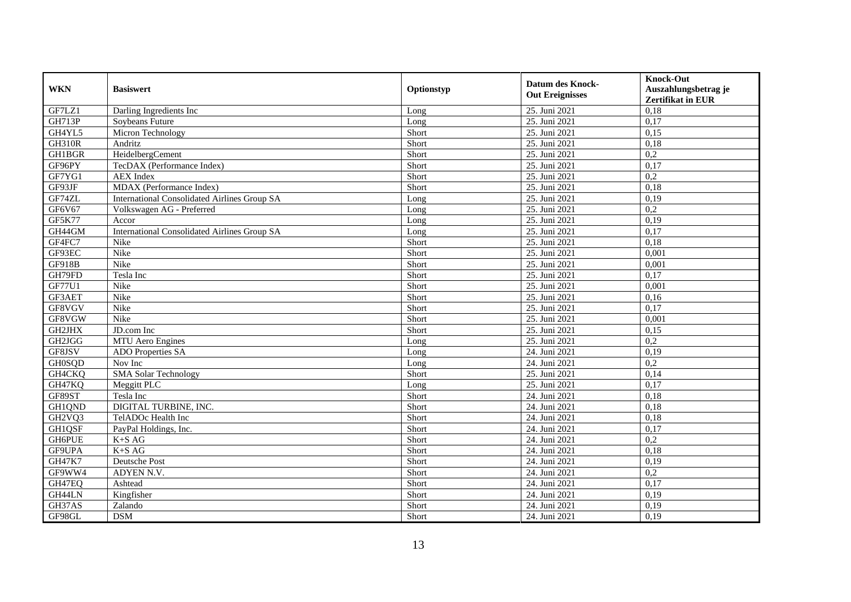| <b>WKN</b>                      | <b>Basiswert</b>                                    | Optionstyp | <b>Datum des Knock-</b><br><b>Out Ereignisses</b> | <b>Knock-Out</b><br>Auszahlungsbetrag je<br>Zertifikat in EUR |
|---------------------------------|-----------------------------------------------------|------------|---------------------------------------------------|---------------------------------------------------------------|
| GF7LZ1                          | Darling Ingredients Inc                             | Long       | 25. Juni 2021                                     | 0,18                                                          |
| <b>GH713P</b>                   | Soybeans Future                                     | Long       | 25. Juni 2021                                     | 0,17                                                          |
| GH4YL5                          | Micron Technology                                   | Short      | 25. Juni 2021                                     | 0,15                                                          |
| <b>GH310R</b>                   | Andritz                                             | Short      | 25. Juni 2021                                     | 0,18                                                          |
| <b>GH1BGR</b>                   | HeidelbergCement                                    | Short      | 25. Juni 2021                                     | 0,2                                                           |
| GF96PY                          | TecDAX (Performance Index)                          | Short      | 25. Juni 2021                                     | 0,17                                                          |
| GF7YG1                          | <b>AEX</b> Index                                    | Short      | 25. Juni 2021                                     | 0,2                                                           |
| GF93JF                          | MDAX (Performance Index)                            | Short      | 25. Juni 2021                                     | 0,18                                                          |
| GF74ZL                          | <b>International Consolidated Airlines Group SA</b> | Long       | 25. Juni 2021                                     | 0,19                                                          |
| GF6V67                          | Volkswagen AG - Preferred                           | Long       | 25. Juni 2021                                     | 0,2                                                           |
| <b>GF5K77</b>                   | Accor                                               | Long       | 25. Juni 2021                                     | 0,19                                                          |
| GH44GM                          | <b>International Consolidated Airlines Group SA</b> | Long       | 25. Juni 2021                                     | 0,17                                                          |
| GF4FC7                          | Nike                                                | Short      | 25. Juni 2021                                     | 0,18                                                          |
| GF93EC                          | Nike                                                | Short      | 25. Juni 2021                                     | 0,001                                                         |
| GF918B                          | Nike                                                | Short      | 25. Juni 2021                                     | 0,001                                                         |
| GH79FD                          | Tesla Inc                                           | Short      | 25. Juni 2021                                     | 0,17                                                          |
| GF77U1                          | Nike                                                | Short      | 25. Juni 2021                                     | 0,001                                                         |
| GF3AET                          | <b>Nike</b>                                         | Short      | 25. Juni 2021                                     | 0.16                                                          |
| GF8VGV                          | Nike                                                | Short      | 25. Juni 2021                                     | 0,17                                                          |
| GF8VGW                          | Nike                                                | Short      | 25. Juni 2021                                     | 0,001                                                         |
| GH2JHX                          | JD.com Inc                                          | Short      | 25. Juni 2021                                     | 0,15                                                          |
| GH2JGG                          | MTU Aero Engines                                    | Long       | 25. Juni 2021                                     | 0,2                                                           |
| GF8JSV                          | ADO Properties SA                                   | Long       | 24. Juni 2021                                     | 0,19                                                          |
| <b>GH0SQD</b>                   | Nov Inc                                             | Long       | 24. Juni 2021                                     | 0,2                                                           |
| GH4CKQ                          | <b>SMA Solar Technology</b>                         | Short      | 25. Juni 2021                                     | 0.14                                                          |
| GH47KQ                          | Meggitt PLC                                         | Long       | 25. Juni 2021                                     | 0,17                                                          |
| GF89ST                          | Tesla Inc                                           | Short      | 24. Juni 2021                                     | 0,18                                                          |
| GH1QND                          | DIGITAL TURBINE, INC.                               | Short      | 24. Juni 2021                                     | 0,18                                                          |
| GH <sub>2</sub> VQ <sub>3</sub> | TelADOc Health Inc                                  | Short      | 24. Juni 2021                                     | 0,18                                                          |
| GH1QSF                          | PayPal Holdings, Inc.                               | Short      | 24. Juni 2021                                     | 0,17                                                          |
| <b>GH6PUE</b>                   | $K+SAG$                                             | Short      | 24. Juni 2021                                     | 0,2                                                           |
| GF9UPA                          | $K+SAG$                                             | Short      | 24. Juni 2021                                     | 0,18                                                          |
| <b>GH47K7</b>                   | Deutsche Post                                       | Short      | 24. Juni 2021                                     | 0,19                                                          |
| GF9WW4                          | ADYEN N.V.                                          | Short      | 24. Juni 2021                                     | 0,2                                                           |
| GH47EQ                          | Ashtead                                             | Short      | 24. Juni 2021                                     | 0,17                                                          |
| GH44LN                          | Kingfisher                                          | Short      | 24. Juni 2021                                     | 0,19                                                          |
| GH37AS                          | Zalando                                             | Short      | 24. Juni 2021                                     | 0,19                                                          |
| GF98GL                          | <b>DSM</b>                                          | Short      | 24. Juni 2021                                     | 0,19                                                          |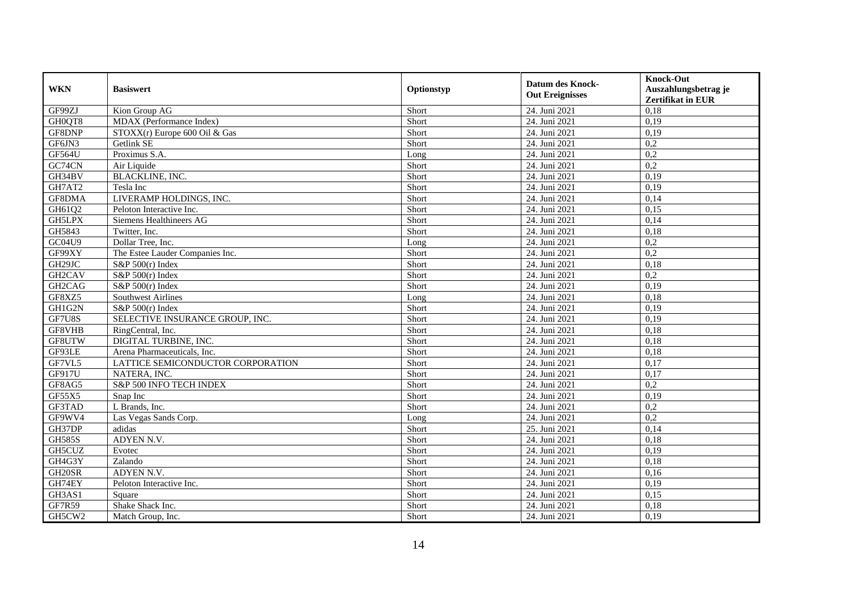| <b>WKN</b>          | <b>Basiswert</b>                  | Optionstyp | <b>Datum des Knock-</b><br><b>Out Ereignisses</b> | <b>Knock-Out</b><br>Auszahlungsbetrag je<br><b>Zertifikat in EUR</b> |
|---------------------|-----------------------------------|------------|---------------------------------------------------|----------------------------------------------------------------------|
| GF99ZJ              | Kion Group AG                     | Short      | 24. Juni 2021                                     | 0,18                                                                 |
| GH0QT8              | MDAX (Performance Index)          | Short      | 24. Juni 2021                                     | 0,19                                                                 |
| GF8DNP              | STOXX(r) Europe 600 Oil & Gas     | Short      | 24. Juni 2021                                     | 0,19                                                                 |
| GF6JN3              | Getlink SE                        | Short      | 24. Juni 2021                                     | 0,2                                                                  |
| <b>GF564U</b>       | Proximus S.A.                     | Long       | 24. Juni 2021                                     | 0,2                                                                  |
| GC74CN              | Air Liquide                       | Short      | 24. Juni 2021                                     | $\overline{0.2}$                                                     |
| GH34BV              | <b>BLACKLINE, INC.</b>            | Short      | 24. Juni 2021                                     | 0,19                                                                 |
| GH7AT2              | Tesla Inc                         | Short      | 24. Juni 2021                                     | 0,19                                                                 |
| GF8DMA              | LIVERAMP HOLDINGS, INC.           | Short      | 24. Juni 2021                                     | 0,14                                                                 |
| GH61Q2              | Peloton Interactive Inc.          | Short      | 24. Juni 2021                                     | 0,15                                                                 |
| GH5LPX              | Siemens Healthineers AG           | Short      | 24. Juni 2021                                     | 0,14                                                                 |
| GH5843              | Twitter, Inc.                     | Short      | 24. Juni 2021                                     | 0,18                                                                 |
| GC04U9              | Dollar Tree, Inc.                 | Long       | 24. Juni 2021                                     | 0,2                                                                  |
| GF99XY              | The Estee Lauder Companies Inc.   | Short      | 24. Juni 2021                                     | 0,2                                                                  |
| GH29JC              | S&P 500(r) Index                  | Short      | 24. Juni 2021                                     | 0,18                                                                 |
| GH <sub>2</sub> CAV | S&P $500(r)$ Index                | Short      | 24. Juni 2021                                     | 0,2                                                                  |
| GH2CAG              | S&P $500(r)$ Index                | Short      | 24. Juni 2021                                     | 0,19                                                                 |
| GF8XZ5              | <b>Southwest Airlines</b>         | Long       | 24. Juni 2021                                     | 0.18                                                                 |
| GH1G2N              | S&P $500(r)$ Index                | Short      | 24. Juni 2021                                     | 0,19                                                                 |
| GF7U8S              | SELECTIVE INSURANCE GROUP, INC.   | Short      | 24. Juni 2021                                     | 0,19                                                                 |
| GF8VHB              | RingCentral, Inc.                 | Short      | 24. Juni 2021                                     | 0,18                                                                 |
| GF8UTW              | DIGITAL TURBINE, INC.             | Short      | 24. Juni 2021                                     | 0,18                                                                 |
| GF93LE              | Arena Pharmaceuticals, Inc.       | Short      | 24. Juni 2021                                     | 0,18                                                                 |
| GF7VL5              | LATTICE SEMICONDUCTOR CORPORATION | Short      | 24. Juni 2021                                     | 0,17                                                                 |
| GF917U              | NATERA, INC.                      | Short      | 24. Juni 2021                                     | 0.17                                                                 |
| GF8AG5              | S&P 500 INFO TECH INDEX           | Short      | 24. Juni 2021                                     | 0,2                                                                  |
| GF55X5              | Snap Inc                          | Short      | 24. Juni 2021                                     | 0,19                                                                 |
| GF3TAD              | L Brands, Inc.                    | Short      | 24. Juni 2021                                     | 0,2                                                                  |
| GF9WV4              | Las Vegas Sands Corp.             | Long       | 24. Juni 2021                                     | 0,2                                                                  |
| GH37DP              | adidas                            | Short      | 25. Juni 2021                                     | 0,14                                                                 |
| <b>GH585S</b>       | ADYEN N.V.                        | Short      | 24. Juni 2021                                     | 0,18                                                                 |
| GH5CUZ              | Evotec                            | Short      | 24. Juni 2021                                     | 0,19                                                                 |
| GH4G3Y              | Zalando                           | Short      | 24. Juni 2021                                     | 0,18                                                                 |
| GH <sub>20SR</sub>  | ADYEN N.V.                        | Short      | 24. Juni 2021                                     | 0,16                                                                 |
| GH74EY              | Peloton Interactive Inc.          | Short      | 24. Juni 2021                                     | 0,19                                                                 |
| GH3AS1              | Square                            | Short      | 24. Juni 2021                                     | 0,15                                                                 |
| GF7R59              | Shake Shack Inc.                  | Short      | 24. Juni 2021                                     | 0,18                                                                 |
| GH5CW2              | Match Group, Inc.                 | Short      | 24. Juni 2021                                     | 0,19                                                                 |